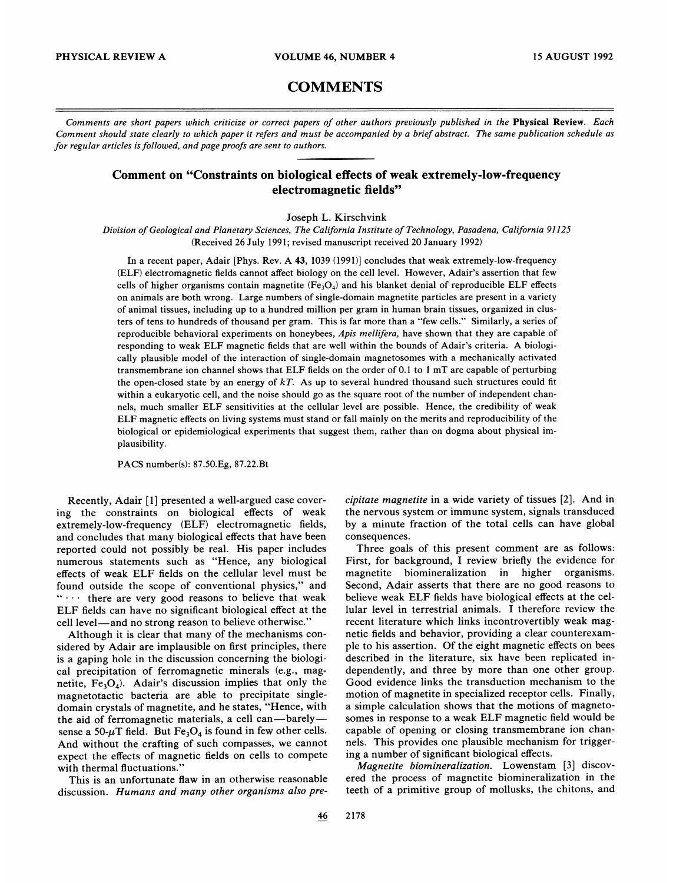## **COMMENTS**

Comments are short papers which criticize or correct papers of other authors previously published in the Physical Review. Each Comment should state clearly to which paper it refers and must be accompanied by a brief abstract. The same publication schedule as for regular articles is followed, and page proofs are sent to authors.

## Comment on "Constraints on biological effects of weak extremely-low-frequency electromagnetic fields"

Joseph L. Kirschvink

Division of Geological and Planetary Sciences, The California Institute of Technology, Pasadena, California 91125 (Received 26 July 1991; revised manuscript received 20 January 1992)

In a recent paper, Adair [Phys. Rev. A 43, 1039 (1991)] concludes that weak extremely-low-frequency (ELF) electromagnetic fields cannot affect biology on the cell level. However, Adair's assertion that few cells of higher organisms contain magnetite  $(Fe_3O_4)$  and his blanket denial of reproducible ELF effects on animals are both wrong. Large numbers of single-domain magnetite particles are present in a variety of animal tissues, including up to a hundred million per gram in human brain tissues, organized in clusters of tens to hundreds of thousand per gram. This is far more than <sup>a</sup> "few cells." Similarly, <sup>a</sup> series of reproducible behavioral experiments on honeybees, Apis mellifera, have shown that they are capable of responding to weak ELF magnetic fields that are well within the bounds of Adair's criteria. A biologically plausible model of the interaction of single-domain magnetosomes with a mechanically activated transmembrane ion channel shows that ELF fields on the order of 0.<sup>1</sup> to <sup>1</sup> mT are capable of perturbing the open-closed state by an energy of  $kT$ . As up to several hundred thousand such structures could fit within a eukaryotic cell, and the noise should go as the square root of the number of independent channels, much smaller ELF sensitivities at the cellular level are possible. Hence, the credibility of weak ELF magnetic effects on living systems must stand or fall mainly on the merits and reproducibility of the biological or epidemiological experiments that suggest them, rather than on dogma about physical implausibility.

PACS number(s): 87.50.Eg, 87.22.Bt

Recently, Adair [1] presented a well-argued case covering the constraints on biological effects of weak extremely-low-frequency (ELF) electromagnetic fields, and concludes that many biological effects that have been reported could not possibly be real. His paper includes numerous statements such as "Hence, any biological effects of weak ELF fields on the cellular level must be found outside the scope of conventional physics," and  $\cdots$  there are very good reasons to believe that weak ELF fields can have no significant biological effect at the cell level —and no strong reason to believe otherwise. "

Although it is clear that many of the mechanisms considered by Adair are implausible on first principles, there is a gaping hole in the discussion concerning the biological precipitation of ferromagnetic minerals (e.g., magnetite,  $Fe<sub>3</sub>O<sub>4</sub>$ ). Adair's discussion implies that only the magnetotactic bacteria are able to precipitate singledomain crystals of magnetite, and he states, "Hence, with the aid of ferromagnetic materials, <sup>a</sup> cell can—barely sense a 50- $\mu$ T field. But Fe<sub>3</sub>O<sub>4</sub> is found in few other cells. And without the crafting of such compasses, we cannot expect the effects of magnetic fields on cells to compete with thermal fluctuations."

This is an unfortunate flaw in an otherwise reasonable discussion. Humans and many other organisms also precipitate magnetite in a wide variety of tissues [2]. And in the nervous system or immune system, signals transduced by a minute fraction of the total cells can have global consequences.

Three goals of this present comment are as follows: First, for background, I review briefly the evidence for magnetite biomineralization in higher organisms. Second, Adair asserts that there are no good reasons to believe weak ELF fields have biological effects at the cellular level in terrestrial animals. I therefore review the recent literature which links incontrovertibly weak magnetic fields and behavior, providing a clear counterexample to his assertion. Of the eight magnetic effects on bees described in the literature, six have been replicated independently, and three by more than one other group. Good evidence links the transduction mechanism to the motion of magnetite in specialized receptor cells. Finally, a simple calculation shows that the motions of magnetosomes in response to a weak ELF magnetic field would be capable of opening or closing transmembrane ion channels. This provides one plausible mechanism for triggering a number of significant biological effects.

Magnetite biomineralization. Lowenstam [3] discovered the process of magnetite biomineralization in the teeth of a primitive group of mollusks, the chitons, and

46 2178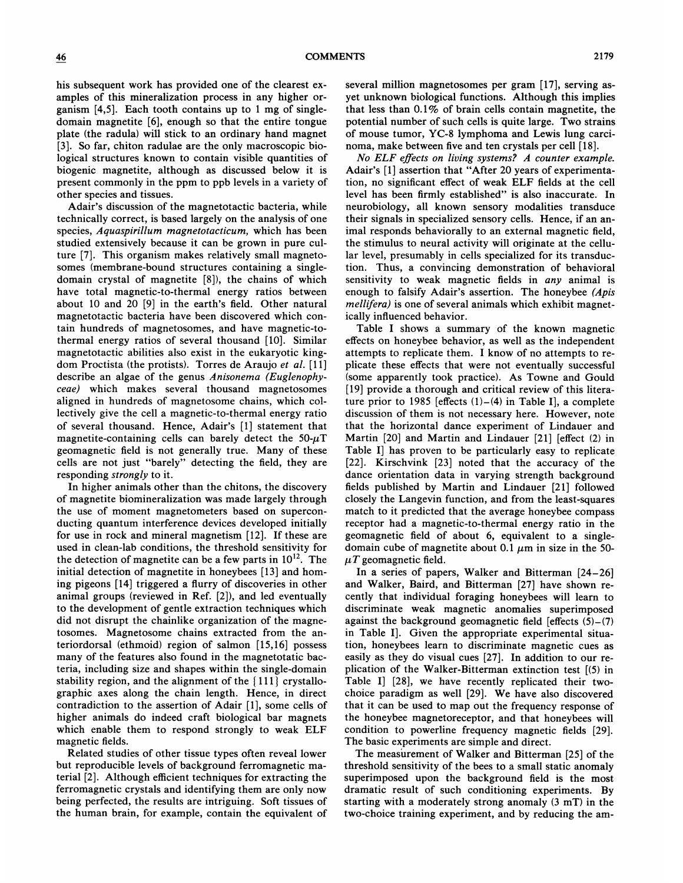his subsequent work has provided one of the clearest examples of this mineralization process in any higher organism [4,5]. Each tooth contains up to <sup>1</sup> mg of singledomain magnetite [6], enough so that the entire tongue plate (the radula) will stick to an ordinary hand magnet [3]. So far, chiton radulae are the only macroscopic biological structures known to contain visible quantities of biogenic magnetite, although as discussed below it is present commonly in the ppm to ppb levels in a variety of other species and tissues.

Adair's discussion of the magnetotactic bacteria, while technically correct, is based largely on the analysis of one species, Aquaspirillum magnetotacticum, which has been studied extensively because it can be grown in pure culture [7]. This organism makes relatively small magnetosomes (membrane-bound structures containing a singledomain crystal of magnetite [8]), the chains of which have total magnetic-to-thermal energy ratios between about 10 and 20 [9] in the earth's field. Other natural magnetotactie bacteria have been discovered which contain hundreds of magnetosomes, and have magnetic-tothermal energy ratios of several thousand [10]. Similar magnetotactic abilities also exist in the eukaryotic kingdom Proctista (the protists). Torres de Araujo et al. [11] describe an algae of the genus Anisonema (Euglenophyceae) which makes several thousand magnetosomes aligned in hundreds of magnetosome chains, which collectively give the cell a magnetic-to-thermal energy ratio of several thousand. Hence, Adair's [1] statement that magnetite-containing cells can barely detect the  $50-\mu T$ geomagnetic field is not generally true. Many of these cells are not just "barely" detecting the field, they are responding *strongly* to it.

In higher animals other than the chitons, the discovery of magnetite biomineralization was made largely through the use of moment magnetometers based on superconducting quantum interference devices developed initially for use in rock and mineral magnetism [12]. If these are used in elean-lab conditions, the threshold sensitivity for the detection of magnetite can be a few parts in  $10^{12}$ . The initial detection of magnetite in honeybees [13] and homing pigeons [14] triggered a fiurry of discoveries in other animal groups (reviewed in Ref. [2]), and led eventually to the development of gentle extraction techniques which did not disrupt the chainlike organization of the magnetosomes. Magnetosome chains extracted from the anteriordorsal (ethmoid) region of salmon [15,16] possess many of the features also found in the magnetotatic bacteria, including size and shapes within the single-domain stability region, and the alignment of the  ${111}$  crystallographic axes along the chain length. Hence, in direct contradiction to the assertion of Adair [1], some cells of higher animals do indeed craft biological bar magnets which enable them to respond strongly to weak ELF magnetic fields.

Related studies of other tissue types often reveal lower but reproducible levels of background ferromagnetic material [2]. Although efficient techniques for extracting the ferromagnetic crystals and identifying them are only now being perfected, the results are intriguing. Soft tissues of the human brain, for example, contain the equivalent of several million magnetosomes per gram [17], serving asyet unknown biological functions. Although this implies that less than  $0.1\%$  of brain cells contain magnetite, the potential number of such cells is quite large. Two strains of mouse tumor, YC-8 lymphoma and Lewis lung carcinoma, make between five and ten crystals per cell [18].

No ELF effects on living systems? A counter example. Adair's [1] assertion that "After 20 years of experimentation, no significant effect of weak ELF fields at the cell level has been firmly established" is also inaccurate. In neurobiology, all known sensory modalities transduce their signals in specialized sensory cells. Hence, if an animal responds behaviorally to an external magnetic field, the stimulus to neural activity will originate at the cellular level, presumably in cells specialized for its transduction. Thus, a convincing demonstration of behavioral sensitivity to weak magnetic fields in any animal is enough to falsify Adair's assertion. The honeybee (Apis mellifera) is one of several animals which exhibit magnetically influenced behavior.

Table I shows a summary of the known magnetic effects on honeybee behavior, as well as the independent attempts to replicate them. I know of no attempts to replicate these effects that were not eventually successful (some apparently took practice). As Towne and Gould [19] provide a thorough and critical review of this literature prior to 1985 [effects  $(1)$ – $(4)$  in Table I], a complete discussion of them is not necessary here. However, note that the horizontal dance experiment of Lindauer and Martin [20] and Martin and Lindauer [21] [effect (2) in Table I] has proven to be particularly easy to replicate [22]. Kirschvink [23] noted that the accuracy of the dance orientation data in varying strength background fields published by Martin and Lindauer [21] followed closely the Langevin function, and from the least-squares match to it predicted that the average honeybee compass receptor had a magnetic-to-thermal energy ratio in the geomagnetic field of about 6, equivalent to a singledomain cube of magnetite about 0.1  $\mu$ m in size in the 50- $\mu T$  geomagnetic field.

In a series of papers, Walker and Bitterman [24—26] and Walker, Baird, and Bitterman [27] have shown recently that individual foraging honeybees will learn to discriminate weak magnetic anomalies superimposed against the background geomagnetic field [effects  $(5)-(7)$ ] in Table I]. Given the appropriate experimental situation, honeybees learn to discriminate magnetic cues as easily as they do visual cues [27]. In addition to our replication of the Walker-Bitterman extinction test [(5) in Table I] [28], we have recently replicated their twochoice paradigm as well [29]. We have also discovered that it can be used to map out the frequency response of the honeybee magnetoreceptor, and that honeybees will condition to powerline frequency magnetic fields [29]. The basic experiments are simple and direct.

The measurement of Walker and Bitterman [25] of the threshold sensitivity of the bees to a small static anomaly superimposed upon the background field is the most dramatic result of such conditioning experiments. By starting with a moderately strong anomaly (3 mT) in the two-choice training experiment, and by reducing the am-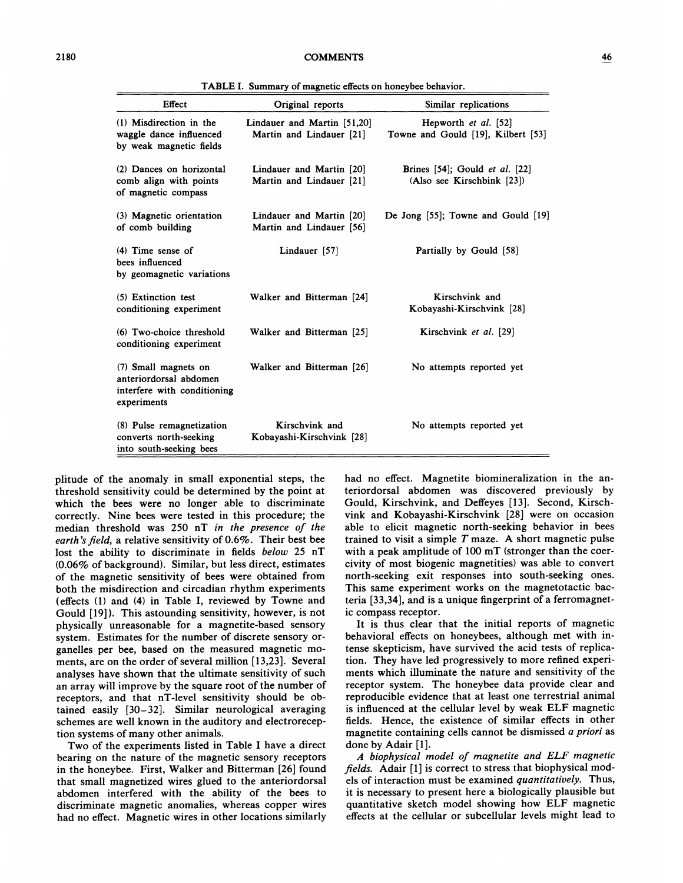| Effect                                                                                       | Original reports                                        | Similar replications                                                |
|----------------------------------------------------------------------------------------------|---------------------------------------------------------|---------------------------------------------------------------------|
| (1) Misdirection in the<br>waggle dance influenced<br>by weak magnetic fields                | Lindauer and Martin [51,20]<br>Martin and Lindauer [21] | Hepworth et al. [52]<br>Towne and Gould [19], Kilbert [53]          |
| (2) Dances on horizontal<br>comb align with points<br>of magnetic compass                    | Lindauer and Martin [20]<br>Martin and Lindauer [21]    | Brines [54]; Gould <i>et al.</i> [22]<br>(Also see Kirschbink [23]) |
| (3) Magnetic orientation<br>of comb building                                                 | Lindauer and Martin [20]<br>Martin and Lindauer [56]    | De Jong $[55]$ ; Towne and Gould $[19]$                             |
| $(4)$ Time sense of<br>bees influenced<br>by geomagnetic variations                          | Lindauer [57]                                           | Partially by Gould [58]                                             |
| (5) Extinction test<br>conditioning experiment                                               | Walker and Bitterman [24]                               | Kirschvink and<br>Kobayashi-Kirschvink [28]                         |
| (6) Two-choice threshold<br>conditioning experiment                                          | Walker and Bitterman [25]                               | Kirschvink et al. [29]                                              |
| (7) Small magnets on<br>anteriordorsal abdomen<br>interfere with conditioning<br>experiments | Walker and Bitterman [26]                               | No attempts reported yet                                            |
| (8) Pulse remagnetization<br>converts north-seeking<br>into south-seeking bees               | Kirschvink and<br>Kobayashi-Kirschvink [28]             | No attempts reported yet                                            |

TABLE I. Summary of magnetic effects on honeybee behavior.

plitude of the anomaly in small exponential steps, the threshold sensitivity could be determined by the point at which the bees were no longer able to discriminate correctly. Nine bees were tested in this procedure; the median threshold was 250 nT in the presence of the earth's field, a relative sensitivity of 0.6%. Their best bee lost the ability to discriminate in fields below 25 nT (0.06% of background). Similar, but less direct, estimates of the magnetic sensitivity of bees were obtained from both the misdirection and circadian rhythm experiments (effects (1) and (4) in Table I, reviewed by Towne and Gould [19]). This astounding sensitivity, however, is not physically unreasonable for a magnetite-based sensory system. Estimates for the number of discrete sensory organelles per bee, based on the measured magnetic moments, are on the order of several million [13,23]. Several analyses have shown that the ultimate sensitivity of such an array will improve by the square root of the number of receptors, and that nT-level sensitivity should be obtained easily [30—32]. Similar neurological averaging schemes are well known in the auditory and electroreception systems of many other animals.

Two of the experiments listed in Table I have a direct bearing on the nature of the magnetic sensory receptors in the honeybee. First, Walker and Bitterman [26] found that small magnetized wires glued to the anteriordorsal abdomen interfered with the ability of the bees to discriminate magnetic anomalies, whereas copper wires had no effect. Magnetic wires in other locations similarly

had no effect. Magnetite biomineralization in the anteriordorsal abdomen was discovered previously by Gould, Kirschvink, and Deffeyes [13]. Second, Kirschvink and Kobayashi-Kirschvink [28] were on occasion able to elicit magnetic north-seeking behavior in bees trained to visit a simple  $T$  maze. A short magnetic pulse with a peak amplitude of 100 mT (stronger than the coercivity of most biogenic magnetities) was able to convert north-seeking exit responses into south-seeking ones. This same experiment works on the magnetotactic bacteria [33,34], and is a unique fingerprint of a ferromagnetic compass receptor.

It is thus clear that the initial reports of magnetic behavioral effects on honeybees, although met with intense skepticism, have survived the acid tests of replication. They have led progressively to more refined experiments which illuminate the nature and sensitivity of the receptor system. The honeybee data provide clear and reproducible evidence that at least one terrestrial animal is influenced at the cellular level by weak ELF magnetic fields. Hence, the existence of similar effects in other magnetite containing cells cannot be dismissed a priori as done by Adair [1].

<sup>A</sup> biophysical model of magnetite and ELF magnetic fields. Adair [1] is correct to stress that biophysical models of interaction must be examined quantitatively. Thus, it is necessary to present here a biologically plausible but quantitative sketch model showing how ELF magnetic effects at the cellular or subcellular levels might lead to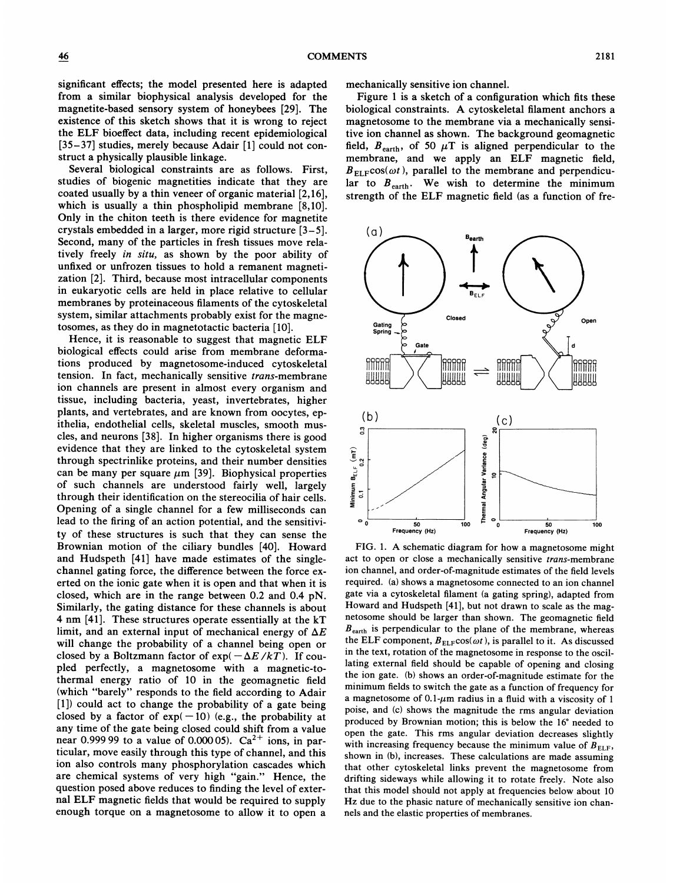significant effects; the model presented here is adapted from a similar biophysical analysis developed for the magnetite-based sensory system of honeybees [29]. The existence of this sketch shows that it is wrong to reject the ELF bioeffect data, including recent epidemiological [35—37] studies, merely because Adair [1] could not construct a physically plausible linkage.

Several biological constraints are as follows. First, studies of biogenic magnetities indicate that they are coated usually by a thin veneer of organic material [2,16], which is usually a thin phospholipid membrane [8,10]. Only in the chiton teeth is there evidence for magnetite crystals embedded in a larger, more rigid structure [3—5]. Second, many of the particles in fresh tissues move relatively freely in situ, as shown by the poor ability of unfixed or unfrozen tissues to hold a remanent magnetization [2]. Third, because most intracellular components in eukaryotic cells are held in place relative to cellular membranes by proteinaceous filaments of the cytoskeletal system, similar attachments probably exist for the magnetosomes, as they do in magnetotactic bacteria [10].

Hence, it is reasonable to suggest that magnetic ELF biological effects could arise from membrane deformations produced by magnetosome-induced cytoskeletal tension. In fact, mechanically sensitive trans-membrane ion channels are present in almost every organism and tissue, including bacteria, yeast, invertebrates, higher plants, and vertebrates, and are known from oocytes, epithelia, endothelial cells, skeletal muscles, smooth muscles, and neurons [38]. In higher organisms there is good evidence that they are linked to the cytoskeletal system through spectrinlike proteins, and their number densities can be many per square  $\mu$ m [39]. Biophysical properties of such channels are understood fairly well, largely through their identification on the stereocilia of hair cells. Opening of a single channel for a few milliseconds can lead to the firing of an action potential, and the sensitivity of these structures is such that they can sense the Brownian motion of the ciliary bundles [40]. Howard and Hudspeth [41] have made estimates of the singlechannel gating force, the difference between the force exerted on the ionic gate when it is open and that when it is closed, which are in the range between 0.2 and 0.4 pN. Similarly, the gating distance for these channels is about 4 nm [41]. These structures operate essentially at the kT limit, and an external input of mechanical energy of  $\Delta E$ will change the probability of a channel being open or closed by a Boltzmann factor of  $\exp(-\Delta E/kT)$ . If coupled perfectly, a magnetosome with a magnetic-tothermal energy ratio of 10 in the geomagnetic field (which "barely" responds to the field according to Adair [1]) could act to change the probability of a gate being closed by a factor of  $exp(-10)$  (e.g., the probability at any time of the gate being closed could shift from a value near 0.999 99 to a value of 0.000 05).  $Ca^{2+}$  ions, in particular, move easily through this type of channel, and this ion also controls many phosphorylation cascades which are chemical systems of very high "gain." Hence, the question posed above reduces to finding the level of external ELF magnetic fields that would be required to supply enough torque on a magnetosome to allow it to open a

mechanically sensitive ion channel.

Figure <sup>1</sup> is a sketch of a configuration which fits these biological constraints. A cytoskeletal filament anchors a magnetosome to the membrane via a mechanically sensitive ion channel as shown. The background geomagnetic field,  $B_{\text{earth}}$ , of 50  $\mu$ T is aligned perpendicular to the membrane, and we apply an ELF magnetic field,  $B_{\text{ELF}}\cos(\omega t)$ , parallel to the membrane and perpendicular to  $B_{\text{earth}}$ . We wish to determine the minimum strength of the ELF magnetic field (as a function of fre-



FIG. 1. A schematic diagram for how a magnetosome might act to open or close a mechanically sensitive trans-membrane ion channel, and order-of-magnitude estimates of the field levels required. (a) shows a magnetosome connected to an ion channel gate via a cytoskeletal filament (a gating spring), adapted from Howard and Hudspeth [41], but not drawn to scale as the magnetosome should be larger than shown. The geomagnetic field  $B<sub>earth</sub>$  is perpendicular to the plane of the membrane, whereas the ELF component,  $B_{\text{ELF}}\cos(\omega t)$ , is parallel to it. As discussed in the text, rotation of the magnetosome in response to the oscillating external field should be capable of opening and closing the ion gate. (b) shows an order-of-magnitude estimate for the minimum fields to switch the gate as a function of frequency for a magnetosome of  $0.1$ - $\mu$ m radius in a fluid with a viscosity of 1 poise, and (c) shows the magnitude the rms angular deviation produced by Brownian motion; this is below the 16° needed to open the gate. This rms angular deviation decreases slightly with increasing frequency because the minimum value of  $B_{\text{FLE}}$ , shown in (b), increases. These calculations are made assuming that other cytoskeletal links prevent the magnetosome from drifting sideways while allowing it to rotate freely. Note also that this model should not apply at frequencies below about 10 Hz due to the phasic nature of mechanically sensitive ion channels and the elastic properties of membranes.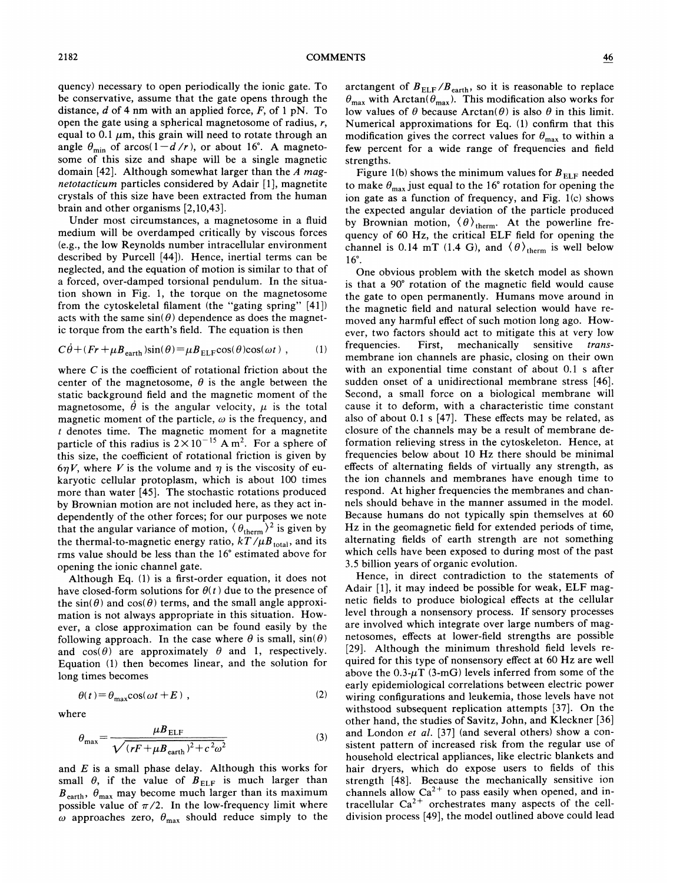quency) necessary to open periodically the ionic gate. To be conservative, assume that the gate opens through the distance,  $d$  of 4 nm with an applied force,  $F$ , of 1 pN. To open the gate using a spherical magnetosome of radius,  $r$ , equal to 0.1  $\mu$ m, this grain will need to rotate through an angle  $\theta_{\min}$  of arcos(1-d/r), or about 16°. A magnetosorne of this size and shape will be a single magnetic domain [42]. Although somewhat larger than the  $A$  magnetotacticum particles considered by Adair [1], magnetite crystals of this size have been extracted from the human brain and other organisms [2,10,43].

Under most circumstances, a magnetosome in a fluid medium will be overdamped critically by viscous forces (e.g., the low Reynolds number intracellular environment described by Purcell [44]). Hence, inertial terms can be neglected, and the equation of motion is similar to that of a forced, over-damped torsional pendulum. In the situation shown in Fig. 1, the torque on the magnetosome from the cytoskeletal filament (the "gating spring" [41]) acts with the same  $sin(\theta)$  dependence as does the magnetic torque from the earth's field. The equation is then

$$
C\dot{\theta} + (Fr + \mu B_{\text{earth}}) \sin(\theta) = \mu B_{\text{ELF}} \cos(\theta) \cos(\omega t) , \qquad (1)
$$

where  $C$  is the coefficient of rotational friction about the center of the magnetosome,  $\theta$  is the angle between the static background field and the magnetic moment of the magnetosome,  $\dot{\theta}$  is the angular velocity,  $\mu$  is the total magnetic moment of the particle,  $\omega$  is the frequency, and t denotes time. The magnetic moment for a magnetite particle of this radius is  $2 \times 10^{-15}$  A m<sup>2</sup>. For a sphere of this size, the coefficient of rotational friction is given by  $6\eta V$ , where V is the volume and  $\eta$  is the viscosity of eukaryotic cellular protoplasm, which is about 100 times more than water [45]. The stochastic rotations produced by Brownian motion are not included here, as they act independently of the other forces; for our purposes we note that the angular variance of motion,  $(\theta_{\text{therm}})^2$  is given by the thermal-to-magnetic energy ratio,  $kT/\mu B_{\text{total}}$ , and its rms value should be less than the 16' estimated above for opening the ionic channel gate.

Although Eq. (1) is a first-order equation, it does not have closed-form solutions for  $\theta(t)$  due to the presence of the  $sin(\theta)$  and  $cos(\theta)$  terms, and the small angle approximation is not always appropriate in this situation. However, a close approximation can be found easily by the following approach. In the case where  $\theta$  is small,  $sin(\theta)$ and  $cos(\theta)$  are approximately  $\theta$  and 1, respectively. Equation (1) then becomes linear, and the solution for long times becomes

$$
\theta(t) = \theta_{\text{max}} \cos(\omega t + E) , \qquad (2)
$$

where

$$
\theta_{\text{max}} = \frac{\mu B_{\text{ELF}}}{\sqrt{(rF + \mu B_{\text{earth}})^2 + c^2 \omega^2}}
$$
(3)

and  $E$  is a small phase delay. Although this works for small  $\theta$ , if the value of  $B_{\text{ELF}}$  is much larger than  $B_{\text{earth}}$ ,  $\theta_{\text{max}}$  may become much larger than its maximum possible value of  $\pi/2$ . In the low-frequency limit where  $\omega$  approaches zero,  $\theta_{\text{max}}$  should reduce simply to the

arctangent of  $B_{\text{ELF}}/B_{\text{earth}}$ , so it is reasonable to replace  $\theta_{\text{max}}$  with Arctan( $\theta_{\text{max}}$ ). This modification also works for low values of  $\theta$  because Arctan( $\theta$ ) is also  $\theta$  in this limit. Numerical approximations for Eq. (1) confirm that this modification gives the correct values for  $\theta_{\text{max}}$  to within a few percent for a wide range of frequencies and field strengths.

Figure 1(b) shows the minimum values for  $B_{\text{ELF}}$  needed to make  $\theta_{\text{max}}$  just equal to the 16° rotation for opening the ion gate as a function of frequency, and Fig. 1(c) shows the expected angular deviation of the particle produced by Brownian motion,  $\langle \theta \rangle_{\text{therm}}$ . At the powerline frequency of 60 Hz, the critical ELF field for opening the channel is 0.14 mT (1.4 G), and  $\langle \theta \rangle_{\text{therm}}$  is well below 16'.

One obvious problem with the sketch model as shown is that <sup>a</sup> 90' rotation of the magnetic field would cause the gate to open permanently. Humans move around in the magnetic field and natural selection would have removed any harmful effect of such motion long ago. However, two factors should act to mitigate this at very low frequencies. First, mechanically sensitive transmembrane ion channels are phasic, closing on their own with an exponential time constant of about 0.<sup>1</sup> s after sudden onset of a unidirectional membrane stress [46]. Second, a small force on a biological membrane will cause it to deform, with a characteristic time constant also of about 0.<sup>1</sup> s [47]. These effects may be related, as closure of the channels may be a result of membrane deformation relieving stress in the cytoskeleton. Hence, at frequencies below about 10 Hz there should be minimal effects of alternating fields of virtually any strength, as the ion channels and membranes have enough time to respond. At higher frequencies the membranes and channels should behave in the manner assumed in the model. Because humans do not typically spin themselves at 60 Hz in the geomagnetic field for extended periods of time, alternating fields of earth strength are not something which cells have been exposed to during most of the past 3.5 billion years of organic evolution.

Hence, in direct contradiction to the statements of Adair [1], it may indeed be possible for weak, ELF magnetic fields to produce biological effects at the cellular level through a nonsensory process. If sensory processes are involved which integrate over large numbers of magnetosomes, effects at lower-field strengths are possible [29]. Although the minimum threshold field levels required for this type of nonsensory effect at 60 Hz are well above the  $0.3-\mu T$  (3-mG) levels inferred from some of the early epiderniological correlations between electric power wiring configurations and leukemia, those levels have not withstood subsequent replication attempts [37]. On the other hand, the studies of Savitz, John, and Kleckner [36] and London et al. [37] (and several others) show a consistent pattern of increased risk from the regular use of household electrical appliances, like electric blankets and hair dryers, which do expose users to fields of this strength [48]. Because the mechanically sensitive ion channels allow  $Ca^{2+}$  to pass easily when opened, and intracellular  $Ca^{2+}$  orchestrates many aspects of the celldivision process [49], the model outlined above could lead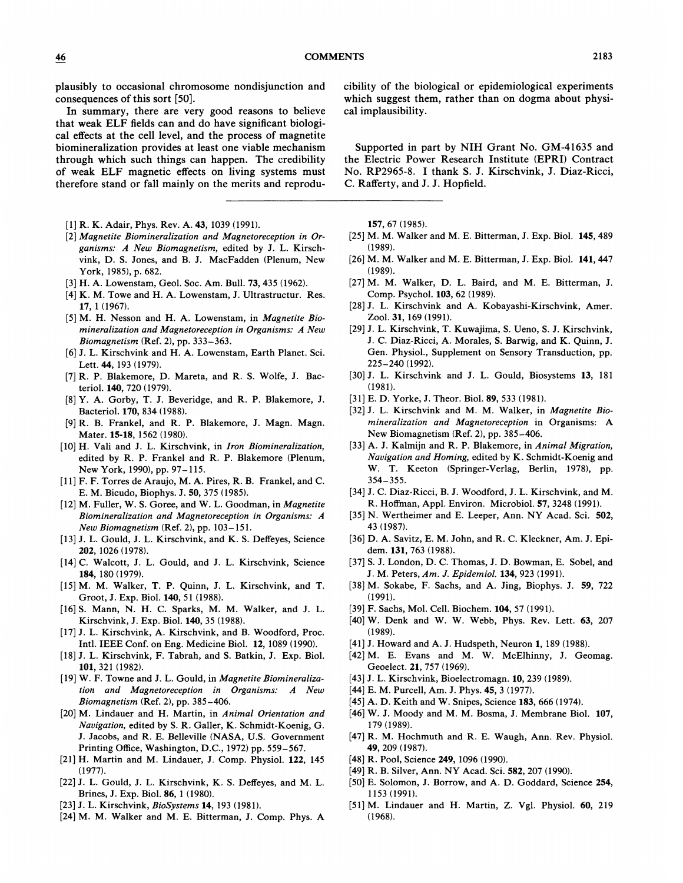plausibly to occasional chromosome nondisjunction and consequences of this sort [50].

In summary, there are very good reasons to believe that weak ELF fields can and do have significant biological effects at the cell level, and the process of magnetite biomineralization provides at least one viable mechanism through which such things can happen. The credibility of weak ELF magnetic effects on living systems must therefore stand or fall mainly on the merits and reprodu-

- [1] R. K. Adair, Phys. Rev. A. 43, 1039 (1991).
- [2] Magnetite Biomineralization and Magnetoreception in Organisms: <sup>A</sup> New Biomagnetism, edited by J. L. Kirschvink, D. S. Jones, and B. J. MacFadden (Plenum, New York, 1985), p. 682.
- [3] H. A. Lowenstam, Geol. Soc. Am. Bull. 73, 435 (1962).
- [4] K. M. Towe and H. A. Lowenstam, J. Ultrastructur. Res. 17, <sup>1</sup> (1967).
- [5] M. H. Nesson and H. A. Lowenstam, in Magnetite Biomineralization and Magnetoreception in Organisms: A New Biomagnetism (Ref. 2), pp. 333-363.
- [6] J. L. Kirschvink and H. A. Lowenstam, Earth Planet. Sci. Lett. 44, 193 (1979).
- [7]R. P. Blakemore, D. Mareta, and R. S. Wolfe, J. Bacteriol. 140, 720 (1979).
- [8] Y. A. Gorby, T. J. Beveridge, and R. P. Blakemore, J. Bacteriol. 170, 834 (1988).
- [9]R. B. Frankel, and R. P. Blakemore, J. Magn. Magn. Mater. 15-18, 1562 (1980).
- [10] H. Vali and J. L. Kirschvink, in Iron Biomineralization, edited by R. P. Frankel and R. P. Blakemore (Plenum, New York, 1990), pp. 97-115.
- [11] F. F. Torres de Araujo, M. A. Pires, R. B. Frankel, and C. E. M. Bicudo, Biophys. J. 50, 375 (1985).
- [12] M. Fuller, W. S. Goree, and W. L. Goodman, in Magnetite Biomineralization and Magnetoreception in Organisms: A New Biomagnetism (Ref. 2), pp. 103-151.
- [13] J. L. Gould, J. L. Kirschvink, and K. S. Deffeyes, Science 202, 1026 (1978).
- [14] C. Walcott, J. L. Gould, and J. L. Kirschvink, Science 184, 180 (1979).
- [15]M. M. Walker, T. P. Quinn, J. L. Kirschvink, and T. Groot, J. Exp. Biol. 140, 51 (1988).
- [16] S. Mann, N. H. C. Sparks, M. M. Walker, and J. L. Kirschvink, J. Exp. Biol. 140, 35 (1988).
- [17] J. L. Kirschvink, A. Kirschvink, and B. Woodford, Proc. Intl. IEEE Conf. on Eng. Medicine Biol. 12, 1089 (1990).
- [18] J. L. Kirschvink, F. Tabrah, and S. Batkin, J. Exp. Biol. 101, 321 (1982).
- [19] W. F. Towne and J. L. Gould, in Magnetite Biomineralization and Magnetoreception in Organisms: A New Biomagnetism (Ref. 2), pp. 385—406.
- [20] M. Lindauer and H. Martin, in Animal Orientation and Navigation, edited by S.R. Galler, K. Schmidt-Koenig, G. J. Jacobs, and R. E. Belleville (NASA, U.S. Government Printing Office, Washington, D.C., 1972) pp. 559-567.
- [21]H. Martin and M. Lindauer, J. Comp. Physiol. 122, 145 (1977).
- [22] J. L. Gould, J. L. Kirschvink, K. S. Deffeyes, and M. L. Brines, J. Exp. Biol. 86, <sup>1</sup> (1980).
- [23] J. L. Kirschvink, *BioSystems* 14, 193 (1981).
- [24] M. M. Walker and M. E. Bitterman, J. Comp. Phys. A

cibility of the biological or epidemiological experiments which suggest them, rather than on dogma about physical implausibility.

Supported in part by NIH Grant No. GM-41635 and the Electric Power Research Institute (EPRI} Contract No. RP2965-8. I thank S. J. Kirschvink, J. Diaz-Ricci, C. Rafferty, and J.J. Hopfield.

157, 67 (1985).

- [25] M. M. Walker and M. E. Bitterman, J. Exp. Biol. 145, 489 (1989).
- [26] M. M. Walker and M. E. Bitterman, J. Exp. Biol. 141, 447 (1989).
- [27] M. M. Walker, D. L. Baird, and M. E. Bitterman, J. Comp. Psychol. 103, 62 (1989).
- [28]J. L. Kirschvink and A. Kobayashi-Kirschvink, Amer. Zool. 31, 169 (1991).
- [29]J. L. Kirschvink, T. Kuwajima, S. Ueno, S.J. Kirschvink, J. C. Diaz-Ricci, A. Morales, S. Barwig, and K. Quinn, J. Gen. Physiol. , Supplement on Sensory Transduction, pp. 225-240 (1992).
- [30] J. L. Kirschvink and J. L. Gould, Biosystems 13, 181 (1981).
- [31] E. D. Yorke, J. Theor. Biol. 89, 533 (1981).
- [32] J. L. Kirschvink and M. M. Walker, in Magnetite Biomineralization and Magnetoreception in Organisms: A New Biomagnetism (Ref. 2), pp. 385-406.
- [33] A. J. Kalmijn and R. P. Blakemore, in Animal Migration, Nauigation and Homing, edited by K. Schmidt-Koenig and W. T. Keeton (Springer-Verlag, Berlin, 1978), pp. 354-355.
- [34] J. C. Diaz-Ricci, B. J. Woodford, J. L. Kirschvink, and M. R. Hoffman, Appl. Environ. Microbiol. 57, 3248 (1991).
- [35] N. Wertheimer and E. Leeper, Ann. NY Acad. Sci. 502, 43 (1987).
- [36] D. A. Savitz, E. M. John, and R. C. Kleckner, Am. J. Epidem. 131, 763 (1988).
- [37] S.J. London, D. C. Thomas, J. D. Bowman, E. Sobel, and J. M. Peters, Am. J. Epidemiol. 134, 923 (1991).
- [38] M. Sokabe, F. Sachs, and A. Jing, Biophys. J. 59, 722 (1991).
- [39]F. Sachs, Mol. Cell. Biochem. 104, 57 (1991).
- [40] W. Denk and W. W. Webb, Phys. Rev. Lett. 63, 207 (1989).
- [41] J. Howard and A. J. Hudspeth, Neuron 1, 189 (1988).
- [42] M. E. Evans and M. W. McElhinny, J. Geomag. Geoelect. 21, 757 (1969).
- [43] J. L. Kirschvink, Bioelectromagn. 10, 239 (1989).
- [44] E. M. Purcell, Am. J. Phys. 45, 3 (1977).
- [45] A. D. Keith and W. Snipes, Science 183, 666 (1974).
- [46] W. J. Moody and M. M. Bosma, J. Membrane Biol. 107, 179 (1989).
- [47] R. M. Hochmuth and R. E. Waugh, Ann. Rev. Physiol. 49, 209 (1987).
- [48] R. Pool, Science 249, 1096 (1990).
- [49] R. B. Silver, Ann. NY Acad. Sci. 582, 207 (1990).
- [50] E. Solomon, J. Borrow, and A. D. Goddard, Science 254, 1153 (1991).
- [51]M. Lindauer and H. Martin, Z. Vgl. Physiol. 60, 219 (1968).